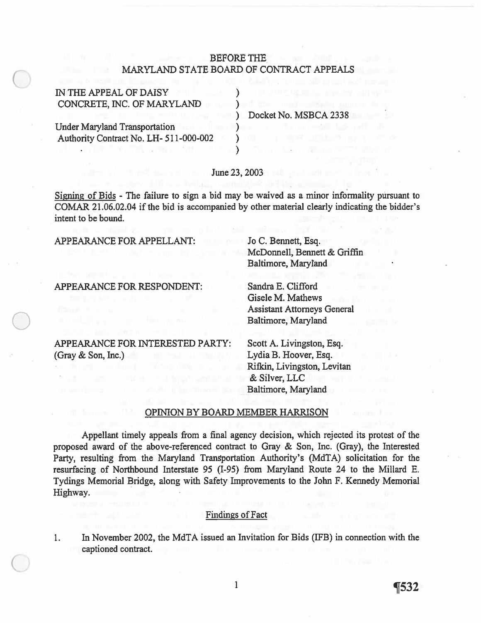# BEFORE THE MARYLAND STATE BOARD OF CONTRACT APPEALS

| IN THE APPEAL OF DAISY                |                       |
|---------------------------------------|-----------------------|
| CONCRETE, INC. OF MARYLAND            |                       |
|                                       | Docket No. MSBCA 2338 |
| <b>Under Maryland Transportation</b>  |                       |
| Authority Contract No. LH-511-000-002 |                       |
|                                       |                       |

#### June 23, 2003

Signing of Bids - The failure to sign <sup>a</sup> bid may be waived as <sup>a</sup> minor informality pursuan<sup>t</sup> to COMAR 2 1.06.02.04 if the bid is accompanied by other material clearly indicating the bidder's intent to be bound.

APPEARANCE FOR APPELLANT: Jo C. Bennett, Esq.

McDonnell, Bennett & Griffm Baltimore, Maryland

APPEARANCE FOR RESPONDENT: Sandra E. Clifford

Gisele M. Mathews Assistant Attorneys General Baltimore, Maryland

APPEARANCE FOR INTERESTED PARTY: Scott A. Livingston, Esq. (Gray & Son, Inc.) Lydia B. Hoover, Esq.

Rifkin, Livingston, Levitan & Silver, LLC Baltimore, Maryland

## OPIMON BY BOARD MEMBER HARRISON

Appellant timely appeals from <sup>a</sup> final agency decision, which rejected its protest of the proposed award of the above-referenced contract to Gray & Son, Inc. (Gray), the Interested Party, resulting from the Maryland Transportation Authority's (MdTA) solicitation for the resurfacing of Northbound Interstate 95 (1-95) from Maryland Route 24 to the Millard E. Tydings Memorial Bridge, along with Safety Improvements to the John F. Kennedy Memorial Highway.

# Findings of Fact

1. In November 2002, the MdTA issued an Invitation for Bids (IFB) in connection with the captioned contract.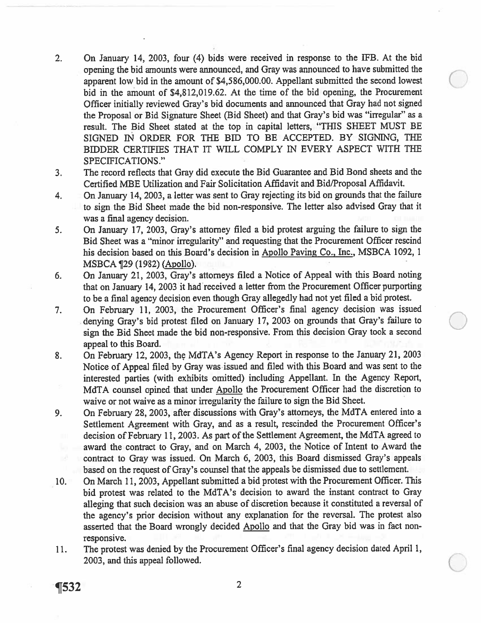- 2. On January 14, 2003, four (4) bids were received in response to the IFB. At the bid opening the bid amounts were announced, and Gray was announced to have submitted the apparen<sup>t</sup> low bid in the amount of \$4,586,000.00. Appellant submitted the second lowest bid in the amount of 54,812,019.62. At the time of the bid opening, the Procurement Officer initially reviewed Gray's bid documents and announced that Gray had not signed the Proposal or Bid Signature Sheet (Bid Sheet) and that Gray's bid was "irregular" as <sup>a</sup> result. The Bid Sheet stated at the top in capital letters, "THIS SHEET MUST BE SIGNED IN ORDER FOR THE BID TO BE ACCEPTED. BY SIGNING, THE BIDDER CERTIFIES THAT IT WILL COMPLY IN EVERY ASPECT WITH THE SPECIFICATIONS."
- 3. The record reflects that Gray did execute the Bid Guarantee and Bid Bond sheets and the Certified MBE Utilization and Fair Solicitation Affidavit and Bid/Proposal Affidavit.
- 4. On January 14, 2003, <sup>a</sup> letter was sent to Gray rejecting its bid on grounds that the failure to sign the Bid Sheet made the bid non-responsive. The letter also advised Gray that it was <sup>a</sup> final agency decision.
- 5. On January 17, 2003, Gray's attorney filed <sup>a</sup> bid protest arguing the failure to sign the Bid Sheet was <sup>a</sup> "minor irregularity" and requesting that the Procurement Officer rescind his decision based on this Board's decision in Apollo Paving Co., Inc., MSBCA 1092, 1 MSBCA ¶29 (1982) (Apollo).
- 6. On January 21, 2003, Gray's attorneys filed <sup>a</sup> Notice of Appeal with this Board noting that on January 14, 2003 it had received <sup>a</sup> letter from the Procurement Officer purporting to be <sup>a</sup> final agency decision even though Gray allegedly had not ye<sup>t</sup> filed <sup>a</sup> bid protest.
- 7. On February 11, 2003, the Procurement Officer's final agency decision was issued denying Gray's bid protest filed on January 17, 2003 on grounds that Gray's failure to sign the Bid Sheet made the bid non-responsive. From this decision Gray took a second appeal to this Board.
- 8. On February 12, 2003, the MdTA's Agency Report in response to the January 21, 2003 Notice of Appeal filed by Gray was issued and filed with this Board and was sent to the interested parties (with exhibits omitted) including Appellant. In the Agency Report, MdTA counsel opined that under Apollo the Procurement Officer had the discretion to waive or not waive as <sup>a</sup> minor irregularity the failure to sign the Bid Sheet.
- 9. On February 28, 2003, after discussions with Gray's attorneys, the MdTA entered into <sup>a</sup> Settlement Agreement with Gray, and as <sup>a</sup> result, rescinded the Procurement Officer's decision of February 11, 2003. As par<sup>t</sup> of the Settlement Agreement, the MdTA agreed to award the contract to Gray, and on March 4, 2003, the Notice of Intent to Award the contract to Gray was issued. On March 6, 2003, this Board dismissed Gray's appeals based on the reques<sup>t</sup> of Gray's counsel that the appeals be dismissed due to settlement.
- 10. On March 11, 2003, Appellant submitted a bid protest with the Procurement Officer. This bid protest was related to the MdTA's decision to award the instant contract to Gray alleging that such decision was an abuse of discretion because it constituted <sup>a</sup> reversal of the agency's prior decision without any explanation for the reversal. The protest also asserted that the Board wrongly decided Apollo and that the Gray bid was in fact nonresponsive.
- 11. The protest was denied by the Procurement Officer's final agency decision dated April 1, 2003, and this appeal followed.

 $\P$ 532 2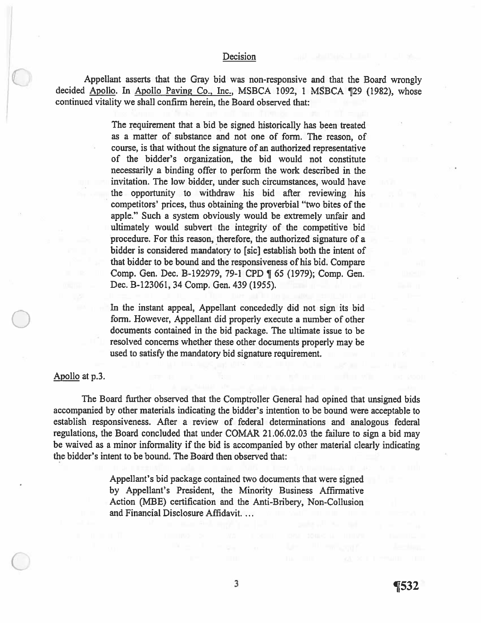# Decision

Appellant asserts that the Gray bid was non-responsive and that the Board wrongly decided Apollo. In Apollo Paving Co., Inc., MSBCA 1092, 1 MSBCA 129 (1982), whose continued vitality we shall confirm herein, the Board observed that:

> The requirement that <sup>a</sup> bid be signed historically has been treated as <sup>a</sup> matter of substance and not one of form. The reason, of course, is that without the signature of an authorized representative of the bidder's organization, the bid would not constitute necessarily <sup>a</sup> binding offer to perform the work described in the invitation. The low bidder, under such circumstances, would have the opportunity to withdraw his bid after reviewing his competitors' prices, thus obtaining the proverbial "two bites of the apple." Such <sup>a</sup> system obviously would be extremely unfair and ultimately would subvert the integrity of the competitive bid procedure. For this reason, therefore, the authorized signature of <sup>a</sup> bidder is considered mandatory to [sic] establish both the intent of that bidder to be bound and the responsiveness of his bid. Compare Comp. Gen. Dec. B-192979, 79-1 CPD ¶ <sup>65</sup> (1979); Comp. Gen. Dec. B-123061, 34 Comp. Gen. 439 (1955).

> In the instant appeal, Appellant concededly did not sign its bid form. However, Appellant did properly execute <sup>a</sup> number of other documents contained in the bid package. The ultimate issue to be resolved concerns whether these other documents properly may be used to satisfy the mandatory bid signature requirement.

Apollo at p.3.

The Board further observed that the Comptroller General had opined that unsigned bids accompanied by other materials indicating the bidder's intention to be bound were acceptable to establish responsiveness. After <sup>a</sup> review of federal determinations and analogous federal regulations, the Board concluded that under COMAR 21.06.02.03 the failure to sign <sup>a</sup> bid may be waived as <sup>a</sup> minor informality if the bid is accompanied by other material clearly indicating the bidder's intent to be bound. The Board then observed that:

> Appellant's bid package contained two documents that were signed by Appellant's President, the Minority Business Affirmative Action (MBE) certification and the Anti-Bribery, Non-Collusion and Financial Disclosure Affidavit.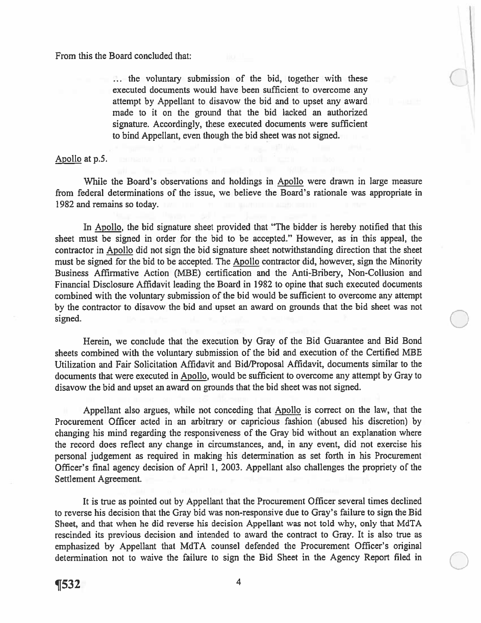From this the Board concluded that:

 $\ldots$  the voluntary submission of the bid, together with these executed documents would have been sufficient to overcome any attempt by Appellant to disavow the bid and to upse<sup>t</sup> any award made to it on the ground that the bid lacked an authorized signature. Accordingly, these executed documents were sufficient to bind Appellant, even though the bid sheet was not signed.

Apollo at p.5.

While the Board's observations and holdings in Apollo were drawn in large measure from federal determinations of the issue, we believe the Board's rationale was appropriate in 1982 and remains so today.

In Apollo, the bid signature sheet provided that "The bidder is hereby notified that this sheet must be signed in order for the bid to be accepted." However, as in this appeal, the contractor in Apollo did not sign the bid signature sheet notwithstanding direction that the sheet must be signed for the bid to be accepted. The Apollo contractor did, however, sign the Minority Business Affirmative Action (MBE) certification and the Anti-Bribery, Non-Collusion and Financial Disclosure Affidavit leading the Board in 1982 to opine that such executed documents combined with the voluntary submission of the bid would be sufficient to overcome any attempt by the contractor to disavow the bid and upse<sup>t</sup> an award on grounds that the bid sheet was not signed.

Herein, we conclude that the execution by Gray of the Bid Guarantee and Bid Bond sheets combined with the voluntary submission of the bid and execution of the Certified MBE Utilization and Fair Solicitation Affidavit and Bid/Proposal Affidavit, documents similar to the documents that were executed in Apollo, would be sufficient to overcome any attempt by Gray to disavow the bid and upse<sup>t</sup> an award on grounds that the bid sheet was not signed.

Appellant also argues, while not conceding that Apollo is correct on the law, that the Procurement Officer acted in an arbitrary or capricious fashion (abused his discretion) by changing his mind regarding the responsiveness of the Gray bid without an explanation where the record does reflect any change in circumstances, and, in any event, did not exercise his personal judgement as required in making his determination as set forth in his Procurement Officer's final agency decision of April 1, 2003. Appellant also challenges the propriety of the Settlement Agreement.

It is true as pointed out by Appellant that the Procurement Officer several times declined to reverse his decision that the Gray bid was non-responsive due to Gray's failure to sign the Bid Sheet, and that when he did reverse his decision Appellant was not told why, only that MdTA rescinded its previous decision and intended to award the contract to Gray. It is also true as emphasized by Appellant that MdTA counsel defended the Procurement Officer's original determination not to waive the failure to sign the Bid Sheet in the Agency Report filed in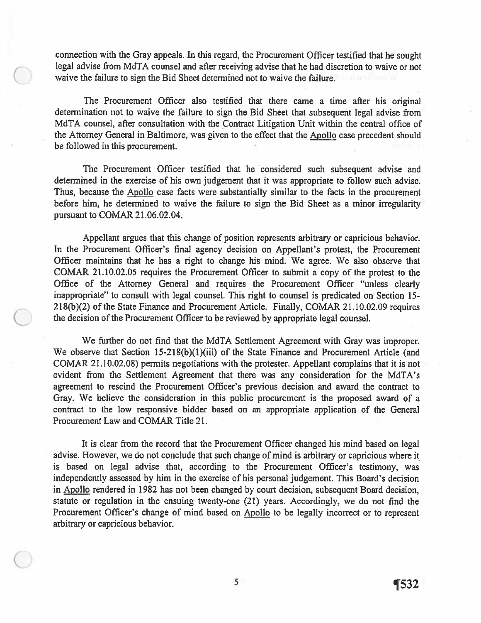connection with the Gray appeals. In this regard, the Procurement Officer testified that he sought legal advise from MdTA counsel and after receiving advise that he had discretion to waive or not waive the failure to sign the Bid Sheet determined not to waive the failure.

The Procurement Officer also testified that there came <sup>a</sup> time after his original determination not to waive the failure to sign the Bid Sheet that subsequent legal advise from MdTA counsel, after consultation with the Contract Litigation Unit within the central office of the Attorney General in Baltimore, was given to the effect that the Apollo case precedent should be followed in this procurement.

The Procurement Officer testified that he considered such subsequent advise and determined in the exercise of his own judgement that it was appropriate to follow such advise. Thus, because the Apollo ease facts were substantially similar to the facts in the procuremen<sup>t</sup> before him, he determined to waive the failure to sign the Bid Sheet as <sup>a</sup> minor irregularity pursuan<sup>t</sup> to COMAR 21.06.02.04.

Appellant argues that this change of position represents arbitrary or capricious behavior. In the Procurement Officer's final agency decision on Appellant's protest, the Procurement Officer maintains that he has <sup>a</sup> right to change his mind. We agree. We also observe that COMAR 21.10.02.05 requires the Procurement Officer to submit <sup>a</sup> copy of the protest to the Office of the Attorney General and requires the Procurement Officer "unless clearly inappropriate" to consult with legal counsel. This right to counsel is predicated on Section 15- 218(b)(2) of the State Finance and Procurement Article. Finally, COMAR 21.10.02.09 requires the decision of the Procurement Officer to be reviewed by appropriate legal counsel.

We further do not find that the MdTA Settlement Agreement with Gray was improper. We observe that Section 15-218(b)(1)(iii) of the State Finance and Procurement Article (and COMAR 21.10.02.08) permits negotiations with the protester. Appellant complains that it is not evident from the Settlement Agreement that there was any consideration for the MdTA's agreemen<sup>t</sup> to rescind the Procurement Officer's previous decision and award the contract to Gray. We believe the consideration in this public procuremen<sup>t</sup> is the proposed award of <sup>a</sup> contract to the low responsive bidder based on an appropriate application of the General Procurement Law and COMAR Title 21.

It is clear from the record that the Procurement Officer changed his mind based on legal advise. However, we do not conclude that such change of mind is arbitrary or capricious where it is based on legal advise that, according to the Procurement Officer's testimony, was independently assessed by him in the exercise of his personal judgement. This Board's decision in Apollo rendered in 1982 has not been changed by court decision, subsequent Board decision, statute or regulation in the ensuing twenty-one (21) years. Accordingly, we do not find the Procurement Officer's change of mind based on Apollo to be legally incorrect or to represen<sup>t</sup> arbitrary or capricious behavior.

 $\sqrt{532}$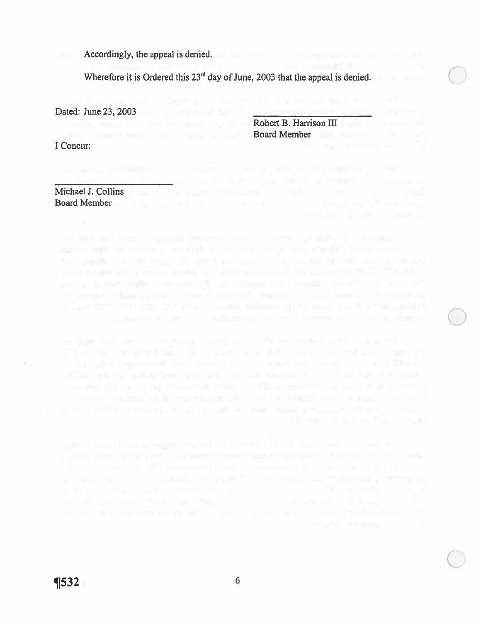Accordingly, the appeal is denied.

Wherefore it is Ordered this  $23<sup>rd</sup>$  day of June, 2003 that the appeal is denied. Accordingly, the appeal is denied.<br>Wherefore it is Ordered this  $23^{\text{rd}}$  day of June, 2003 that the appeal is denied.<br>Dated: June 23, 2003

Robert B. Harrison III and a sense in the sense in the sense in the sense in the  $\mathbf{R}$ **Board Member 1988 and Search Access 1989** and 200 million and 200 million and 200 million and 200 million and 20

THE TIME THERE IS NOT THE TH

 $\bigcirc$ 

 $\bigcirc$ 

I Concur:

 $\overline{\alpha}$ 

a second rate of office and will be a company Michael J. Collins **Michael J. Collins Michael J. Collins Michael J. Collins Michael J. Collins** Board Member **Manual Accord Member** 

Jan a College waste film conducted all military lice around was any of the culture The second state of the second second control of the second state of the control of the second second second second second second second second second second second second second second second second second second second s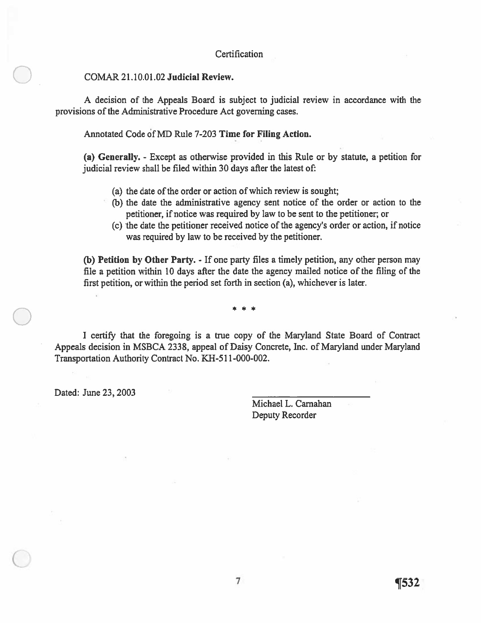# **Certification**

### COMAR 21.10.01.02 Judicial Review.

A decision of the Appeals Board is subject to judicial review in accordance with the provisions of the Administrative Procedure Act governing cases.

Annotated Code of MD Rule 7-203 Time for Filing Action.

(a) Generally. - Except as otherwise provided in this Rule or by statute, <sup>a</sup> petition for judicial review shall be filed within 30 days after the latest of:

- (a) the date of the order or action of which review is sought;
- (b) the date the administrative agency sent notice of the order or action to the petitioner, if notice was required by law to be sent to the petitioner; or
- (c) the date the petitioner received notice of the agency's order or action, if notice was required by law to be received by the petitioner.

(b) Petition by Other Party. - If one party files <sup>a</sup> timely petition, any other person may file <sup>a</sup> petition within 10 days after the date the agency mailed notice of the filing of the first petition, or within the period set forth in section (a), whichever is later.

I certify that the foregoing is a true copy of the Maryland State Board of Contract Appeals decision in MSBCA 2338, appeal of Daisy Concrete, Inc. of Maryland under Maryland Transportation Authority Contract No. KH-51 1-000-002. Certification<br>COMAR 21.10.01.02 Judicial Review.<br>A decision of the Appeals Board is subject to judicial review in accord<br>provisions of the Administrative Procedure Act governing cases.<br>Annotated Code of MD Rule 7-203 Time

Michael L. Camahan Deputy Recorder